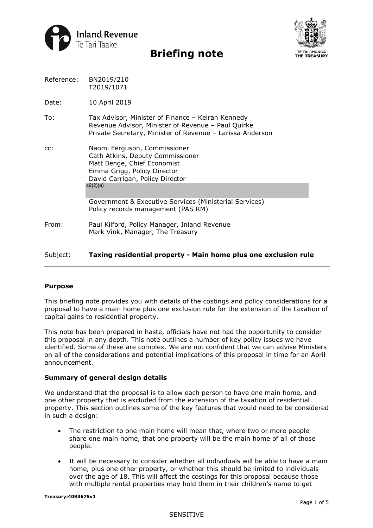



| Reference: | BN2019/210 |
|------------|------------|
|            | T2019/1071 |

Date: 10 April 2019

- To: Tax Advisor, Minister of Finance Keiran Kennedy Revenue Advisor, Minister of Revenue – Paul Quirke Private Secretary, Minister of Revenue – Larissa Anderson
- cc: Naomi Ferguson, Commissioner Cath Atkins, Deputy Commissioner Matt Benge, Chief Economist Emma Grigg, Policy Director David Carrigan, Policy Director s9(2)(a)

 Government & Executive Services (Ministerial Services) Policy records management (PAS RM)

From: Paul Kilford, Policy Manager, Inland Revenue Mark Vink, Manager, The Treasury

## Subject: **Taxing residential property - Main home plus one exclusion rule**

### **Purpose**

 This briefing note provides you with details of the costings and policy considerations for a proposal to have a main home plus one exclusion rule for the extension of the taxation of capital gains to residential property.

This note has been prepared in haste, officials have not had the opportunity to consider this proposal in any depth. This note outlines a number of key policy issues we have identified. Some of these are complex. We are not confident that we can advise Ministers on all of the considerations and potential implications of this proposal in time for an April announcement.

#### **Summary of general design details**

We understand that the proposal is to allow each person to have one main home, and one other property that is excluded from the extension of the taxation of residential property. This section outlines some of the key features that would need to be considered in such a design:

- The restriction to one main home will mean that, where two or more people share one main home, that one property will be the main home of all of those people.
- with multiple rental properties may hold them in their children's name to get • It will be necessary to consider whether all individuals will be able to have a main home, plus one other property, or whether this should be limited to individuals over the age of 18. This will affect the costings for this proposal because those

#### SENSITIVE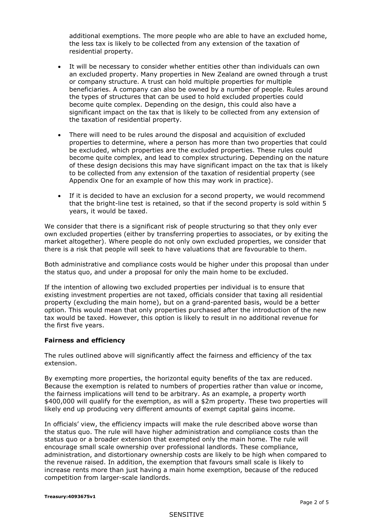additional exemptions. The more people who are able to have an excluded home, the less tax is likely to be collected from any extension of the taxation of residential property.

- beneficiaries. A company can also be owned by a number of people. Rules around the types of structures that can be used to hold excluded properties could • It will be necessary to consider whether entities other than individuals can own an excluded property. Many properties in New Zealand are owned through a trust or company structure. A trust can hold multiple properties for multiple become quite complex. Depending on the design, this could also have a significant impact on the tax that is likely to be collected from any extension of the taxation of residential property.
- be excluded, which properties are the excluded properties. These rules could Appendix One for an example of how this may work in practice). • There will need to be rules around the disposal and acquisition of excluded properties to determine, where a person has more than two properties that could become quite complex, and lead to complex structuring. Depending on the nature of these design decisions this may have significant impact on the tax that is likely to be collected from any extension of the taxation of residential property (see
- If it is decided to have an exclusion for a second property, we would recommend that the bright-line test is retained, so that if the second property is sold within 5 years, it would be taxed.

 own excluded properties (either by transferring properties to associates, or by exiting the We consider that there is a significant risk of people structuring so that they only ever market altogether). Where people do not only own excluded properties, we consider that there is a risk that people will seek to have valuations that are favourable to them.

 the status quo, and under a proposal for only the main home to be excluded. Both administrative and compliance costs would be higher under this proposal than under

 the first five years. If the intention of allowing two excluded properties per individual is to ensure that existing investment properties are not taxed, officials consider that taxing all residential property (excluding the main home), but on a grand-parented basis, would be a better option. This would mean that only properties purchased after the introduction of the new tax would be taxed. However, this option is likely to result in no additional revenue for

### **Fairness and efficiency**

extension. The rules outlined above will significantly affect the fairness and efficiency of the tax

 \$400,000 will qualify for the exemption, as will a \$2m property. These two properties will likely end up producing very different amounts of exempt capital gains income. By exempting more properties, the horizontal equity benefits of the tax are reduced. Because the exemption is related to numbers of properties rather than value or income, the fairness implications will tend to be arbitrary. As an example, a property worth

 status quo or a broader extension that exempted only the main home. The rule will the revenue raised. In addition, the exemption that favours small scale is likely to increase rents more than just having a main home exemption, because of the reduced In officials' view, the efficiency impacts will make the rule described above worse than the status quo. The rule will have higher administration and compliance costs than the encourage small scale ownership over professional landlords. These compliance, administration, and distortionary ownership costs are likely to be high when compared to competition from larger-scale landlords.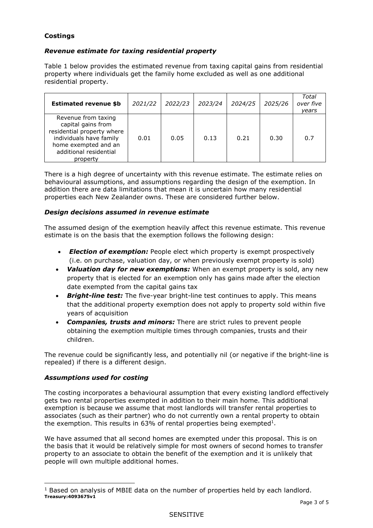# **Costings**

# *Revenue estimate for taxing residential property*

Table 1 below provides the estimated revenue from taxing capital gains from residential property where individuals get the family home excluded as well as one additional residential property.

| <b>Estimated revenue \$b</b>                                                                                                                                     | 2021/22 | 2022/23 | 2023/24 | 2024/25 | 2025/26 | Total<br>over five<br>years |
|------------------------------------------------------------------------------------------------------------------------------------------------------------------|---------|---------|---------|---------|---------|-----------------------------|
| Revenue from taxing<br>capital gains from<br>residential property where<br>individuals have family<br>home exempted and an<br>additional residential<br>property | 0.01    | 0.05    | 0.13    | 0.21    | 0.30    | 0.7                         |

 behavioural assumptions, and assumptions regarding the design of the exemption. In properties each New Zealander owns. These are considered further below. There is a high degree of uncertainty with this revenue estimate. The estimate relies on addition there are data limitations that mean it is uncertain how many residential

## *Design decisions assumed in revenue estimate*

The assumed design of the exemption heavily affect this revenue estimate. This revenue estimate is on the basis that the exemption follows the following design:

- (i.e. on purchase, valuation day, or when previously exempt property is sold) • *Election of exemption:* People elect which property is exempt prospectively
- *Valuation day for new exemptions:* When an exempt property is sold, any new date exempted from the capital gains tax property that is elected for an exemption only has gains made after the election
- *Bright-line test:* The five-year bright-line test continues to apply. This means that the additional property exemption does not apply to property sold within five years of acquisition
- obtaining the exemption multiple times through companies, trusts and their • *Companies, trusts and minors:* There are strict rules to prevent people children.

The revenue could be significantly less, and potentially nil (or negative if the bright-line is repealed) if there is a different design.

# *Assumptions used for costing*

 The costing incorporates a behavioural assumption that every existing landlord effectively gets two rental properties exempted in addition to their main home. This additional exemption is because we assume that most landlords will transfer rental properties to associates (such as their partner) who do not currently own a rental property to obtain the exemption. This results in  $63\%$  of rental properties being exempted<sup>1</sup>.

 people will own multiple additional homes. We have assumed that all second homes are exempted under this proposal. This is on the basis that it would be relatively simple for most owners of second homes to transfer property to an associate to obtain the benefit of the exemption and it is unlikely that

 $1$  Based on analysis of MBIE data on the number of properties held by each landlord. **Treasury:4093675v1**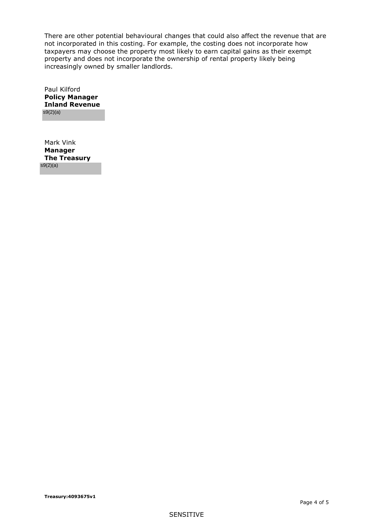taxpayers may choose the property most likely to earn capital gains as their exempt There are other potential behavioural changes that could also affect the revenue that are not incorporated in this costing. For example, the costing does not incorporate how property and does not incorporate the ownership of rental property likely being increasingly owned by smaller landlords.

 **Inland Revenue** Paul Kilford **Policy Manager**  s9(2)(a)

Mark Vink **Manager The Treasury**  s9(2)(a)